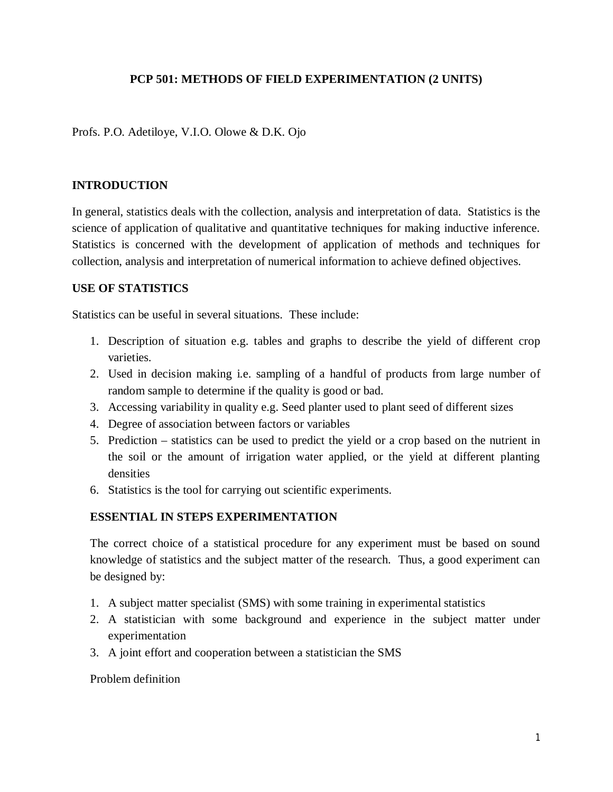# **PCP 501: METHODS OF FIELD EXPERIMENTATION (2 UNITS)**

Profs. P.O. Adetiloye, V.I.O. Olowe & D.K. Ojo

#### **INTRODUCTION**

In general, statistics deals with the collection, analysis and interpretation of data. Statistics is the science of application of qualitative and quantitative techniques for making inductive inference. Statistics is concerned with the development of application of methods and techniques for collection, analysis and interpretation of numerical information to achieve defined objectives.

#### **USE OF STATISTICS**

Statistics can be useful in several situations. These include:

- 1. Description of situation e.g. tables and graphs to describe the yield of different crop varieties.
- 2. Used in decision making i.e. sampling of a handful of products from large number of random sample to determine if the quality is good or bad.
- 3. Accessing variability in quality e.g. Seed planter used to plant seed of different sizes
- 4. Degree of association between factors or variables
- 5. Prediction statistics can be used to predict the yield or a crop based on the nutrient in the soil or the amount of irrigation water applied, or the yield at different planting densities
- 6. Statistics is the tool for carrying out scientific experiments.

## **ESSENTIAL IN STEPS EXPERIMENTATION**

The correct choice of a statistical procedure for any experiment must be based on sound knowledge of statistics and the subject matter of the research. Thus, a good experiment can be designed by:

- 1. A subject matter specialist (SMS) with some training in experimental statistics
- 2. A statistician with some background and experience in the subject matter under experimentation
- 3. A joint effort and cooperation between a statistician the SMS

#### Problem definition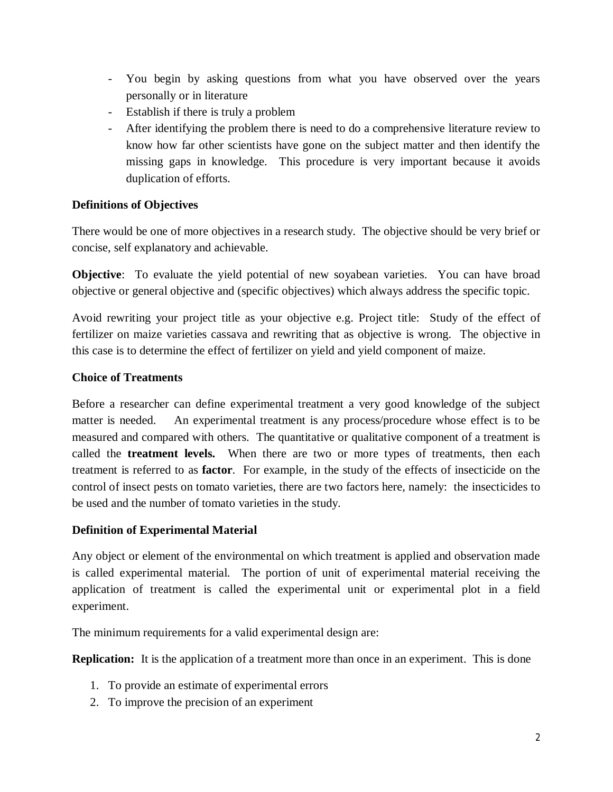- You begin by asking questions from what you have observed over the years personally or in literature
- Establish if there is truly a problem
- After identifying the problem there is need to do a comprehensive literature review to know how far other scientists have gone on the subject matter and then identify the missing gaps in knowledge. This procedure is very important because it avoids duplication of efforts.

# **Definitions of Objectives**

There would be one of more objectives in a research study. The objective should be very brief or concise, self explanatory and achievable.

**Objective**: To evaluate the yield potential of new soyabean varieties. You can have broad objective or general objective and (specific objectives) which always address the specific topic.

Avoid rewriting your project title as your objective e.g. Project title: Study of the effect of fertilizer on maize varieties cassava and rewriting that as objective is wrong. The objective in this case is to determine the effect of fertilizer on yield and yield component of maize.

## **Choice of Treatments**

Before a researcher can define experimental treatment a very good knowledge of the subject matter is needed. An experimental treatment is any process/procedure whose effect is to be measured and compared with others. The quantitative or qualitative component of a treatment is called the **treatment levels.** When there are two or more types of treatments, then each treatment is referred to as **factor**. For example, in the study of the effects of insecticide on the control of insect pests on tomato varieties, there are two factors here, namely: the insecticides to be used and the number of tomato varieties in the study.

## **Definition of Experimental Material**

Any object or element of the environmental on which treatment is applied and observation made is called experimental material. The portion of unit of experimental material receiving the application of treatment is called the experimental unit or experimental plot in a field experiment.

The minimum requirements for a valid experimental design are:

**Replication:** It is the application of a treatment more than once in an experiment. This is done

- 1. To provide an estimate of experimental errors
- 2. To improve the precision of an experiment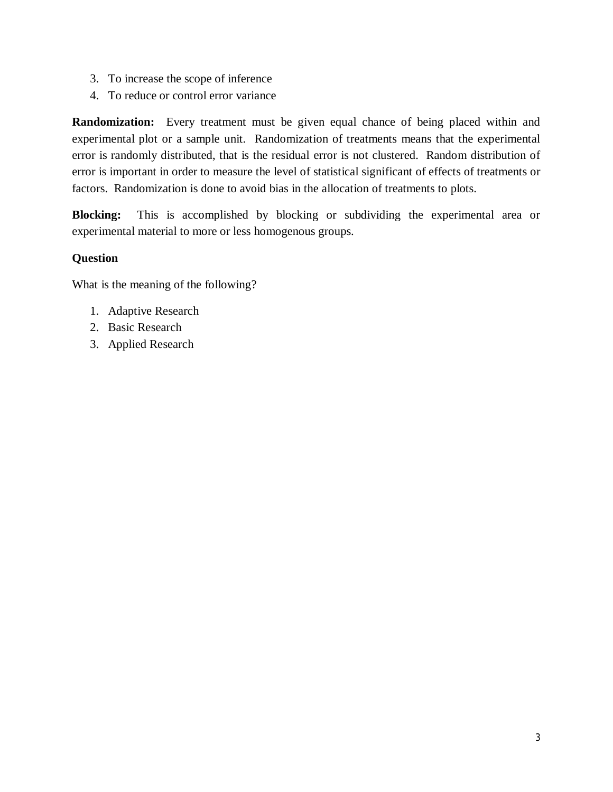- 3. To increase the scope of inference
- 4. To reduce or control error variance

**Randomization:** Every treatment must be given equal chance of being placed within and experimental plot or a sample unit. Randomization of treatments means that the experimental error is randomly distributed, that is the residual error is not clustered. Random distribution of error is important in order to measure the level of statistical significant of effects of treatments or factors. Randomization is done to avoid bias in the allocation of treatments to plots.

**Blocking:** This is accomplished by blocking or subdividing the experimental area or experimental material to more or less homogenous groups.

#### **Question**

What is the meaning of the following?

- 1. Adaptive Research
- 2. Basic Research
- 3. Applied Research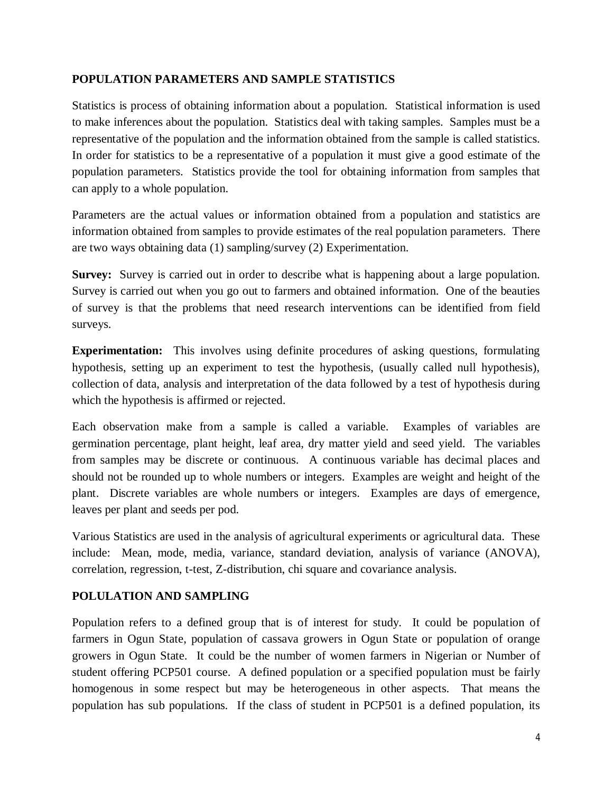## **POPULATION PARAMETERS AND SAMPLE STATISTICS**

Statistics is process of obtaining information about a population. Statistical information is used to make inferences about the population. Statistics deal with taking samples. Samples must be a representative of the population and the information obtained from the sample is called statistics. In order for statistics to be a representative of a population it must give a good estimate of the population parameters. Statistics provide the tool for obtaining information from samples that can apply to a whole population.

Parameters are the actual values or information obtained from a population and statistics are information obtained from samples to provide estimates of the real population parameters. There are two ways obtaining data (1) sampling/survey (2) Experimentation.

**Survey:** Survey is carried out in order to describe what is happening about a large population. Survey is carried out when you go out to farmers and obtained information. One of the beauties of survey is that the problems that need research interventions can be identified from field surveys.

**Experimentation:** This involves using definite procedures of asking questions, formulating hypothesis, setting up an experiment to test the hypothesis, (usually called null hypothesis), collection of data, analysis and interpretation of the data followed by a test of hypothesis during which the hypothesis is affirmed or rejected.

Each observation make from a sample is called a variable. Examples of variables are germination percentage, plant height, leaf area, dry matter yield and seed yield. The variables from samples may be discrete or continuous. A continuous variable has decimal places and should not be rounded up to whole numbers or integers. Examples are weight and height of the plant. Discrete variables are whole numbers or integers. Examples are days of emergence, leaves per plant and seeds per pod.

Various Statistics are used in the analysis of agricultural experiments or agricultural data. These include: Mean, mode, media, variance, standard deviation, analysis of variance (ANOVA), correlation, regression, t-test, Z-distribution, chi square and covariance analysis.

## **POLULATION AND SAMPLING**

Population refers to a defined group that is of interest for study. It could be population of farmers in Ogun State, population of cassava growers in Ogun State or population of orange growers in Ogun State. It could be the number of women farmers in Nigerian or Number of student offering PCP501 course. A defined population or a specified population must be fairly homogenous in some respect but may be heterogeneous in other aspects. That means the population has sub populations. If the class of student in PCP501 is a defined population, its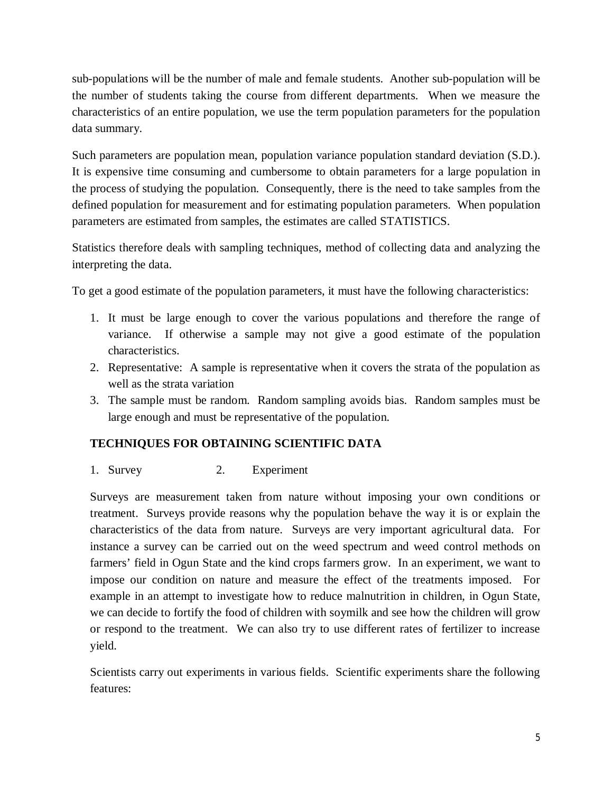sub-populations will be the number of male and female students. Another sub-population will be the number of students taking the course from different departments. When we measure the characteristics of an entire population, we use the term population parameters for the population data summary.

Such parameters are population mean, population variance population standard deviation (S.D.). It is expensive time consuming and cumbersome to obtain parameters for a large population in the process of studying the population. Consequently, there is the need to take samples from the defined population for measurement and for estimating population parameters. When population parameters are estimated from samples, the estimates are called STATISTICS.

Statistics therefore deals with sampling techniques, method of collecting data and analyzing the interpreting the data.

To get a good estimate of the population parameters, it must have the following characteristics:

- 1. It must be large enough to cover the various populations and therefore the range of variance. If otherwise a sample may not give a good estimate of the population characteristics.
- 2. Representative: A sample is representative when it covers the strata of the population as well as the strata variation
- 3. The sample must be random. Random sampling avoids bias. Random samples must be large enough and must be representative of the population.

# **TECHNIQUES FOR OBTAINING SCIENTIFIC DATA**

# 1. Survey 2. Experiment

Surveys are measurement taken from nature without imposing your own conditions or treatment. Surveys provide reasons why the population behave the way it is or explain the characteristics of the data from nature. Surveys are very important agricultural data. For instance a survey can be carried out on the weed spectrum and weed control methods on farmers' field in Ogun State and the kind crops farmers grow. In an experiment, we want to impose our condition on nature and measure the effect of the treatments imposed. For example in an attempt to investigate how to reduce malnutrition in children, in Ogun State, we can decide to fortify the food of children with soymilk and see how the children will grow or respond to the treatment. We can also try to use different rates of fertilizer to increase yield.

Scientists carry out experiments in various fields. Scientific experiments share the following features: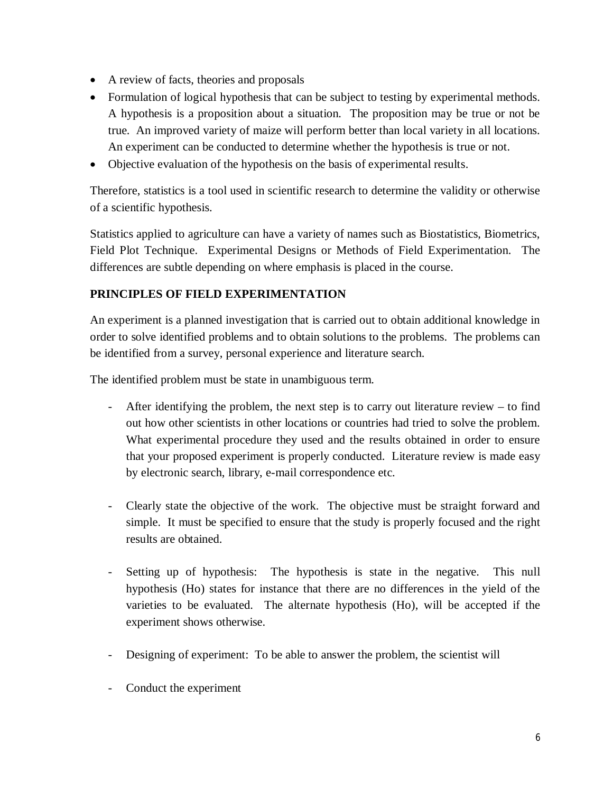- A review of facts, theories and proposals
- Formulation of logical hypothesis that can be subject to testing by experimental methods. A hypothesis is a proposition about a situation. The proposition may be true or not be true. An improved variety of maize will perform better than local variety in all locations. An experiment can be conducted to determine whether the hypothesis is true or not.
- Objective evaluation of the hypothesis on the basis of experimental results.

Therefore, statistics is a tool used in scientific research to determine the validity or otherwise of a scientific hypothesis.

Statistics applied to agriculture can have a variety of names such as Biostatistics, Biometrics, Field Plot Technique. Experimental Designs or Methods of Field Experimentation. The differences are subtle depending on where emphasis is placed in the course.

# **PRINCIPLES OF FIELD EXPERIMENTATION**

An experiment is a planned investigation that is carried out to obtain additional knowledge in order to solve identified problems and to obtain solutions to the problems. The problems can be identified from a survey, personal experience and literature search.

The identified problem must be state in unambiguous term.

- After identifying the problem, the next step is to carry out literature review to find out how other scientists in other locations or countries had tried to solve the problem. What experimental procedure they used and the results obtained in order to ensure that your proposed experiment is properly conducted. Literature review is made easy by electronic search, library, e-mail correspondence etc.
- Clearly state the objective of the work. The objective must be straight forward and simple. It must be specified to ensure that the study is properly focused and the right results are obtained.
- Setting up of hypothesis: The hypothesis is state in the negative. This null hypothesis (Ho) states for instance that there are no differences in the yield of the varieties to be evaluated. The alternate hypothesis (Ho), will be accepted if the experiment shows otherwise.
- Designing of experiment: To be able to answer the problem, the scientist will
- Conduct the experiment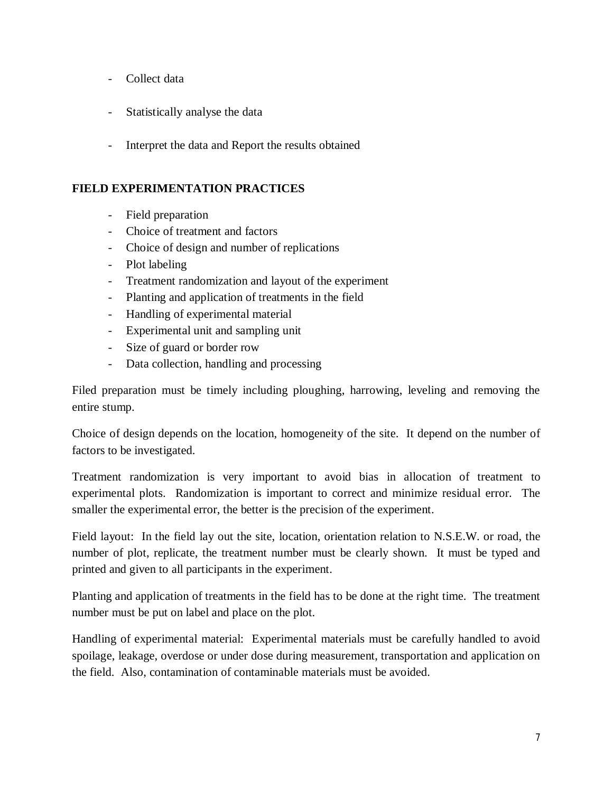- Collect data
- Statistically analyse the data
- Interpret the data and Report the results obtained

# **FIELD EXPERIMENTATION PRACTICES**

- Field preparation
- Choice of treatment and factors
- Choice of design and number of replications
- Plot labeling
- Treatment randomization and layout of the experiment
- Planting and application of treatments in the field
- Handling of experimental material
- Experimental unit and sampling unit
- Size of guard or border row
- Data collection, handling and processing

Filed preparation must be timely including ploughing, harrowing, leveling and removing the entire stump.

Choice of design depends on the location, homogeneity of the site. It depend on the number of factors to be investigated.

Treatment randomization is very important to avoid bias in allocation of treatment to experimental plots. Randomization is important to correct and minimize residual error. The smaller the experimental error, the better is the precision of the experiment.

Field layout: In the field lay out the site, location, orientation relation to N.S.E.W. or road, the number of plot, replicate, the treatment number must be clearly shown. It must be typed and printed and given to all participants in the experiment.

Planting and application of treatments in the field has to be done at the right time. The treatment number must be put on label and place on the plot.

Handling of experimental material: Experimental materials must be carefully handled to avoid spoilage, leakage, overdose or under dose during measurement, transportation and application on the field. Also, contamination of contaminable materials must be avoided.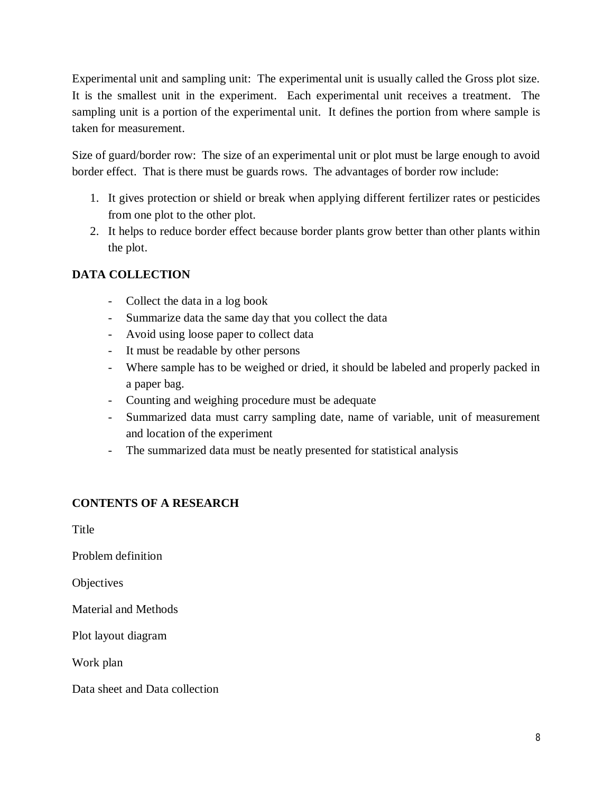Experimental unit and sampling unit: The experimental unit is usually called the Gross plot size. It is the smallest unit in the experiment. Each experimental unit receives a treatment. The sampling unit is a portion of the experimental unit. It defines the portion from where sample is taken for measurement.

Size of guard/border row: The size of an experimental unit or plot must be large enough to avoid border effect. That is there must be guards rows. The advantages of border row include:

- 1. It gives protection or shield or break when applying different fertilizer rates or pesticides from one plot to the other plot.
- 2. It helps to reduce border effect because border plants grow better than other plants within the plot.

# **DATA COLLECTION**

- Collect the data in a log book
- Summarize data the same day that you collect the data
- Avoid using loose paper to collect data
- It must be readable by other persons
- Where sample has to be weighed or dried, it should be labeled and properly packed in a paper bag.
- Counting and weighing procedure must be adequate
- Summarized data must carry sampling date, name of variable, unit of measurement and location of the experiment
- The summarized data must be neatly presented for statistical analysis

# **CONTENTS OF A RESEARCH**

Title

Problem definition

**Objectives** 

Material and Methods

Plot layout diagram

Work plan

Data sheet and Data collection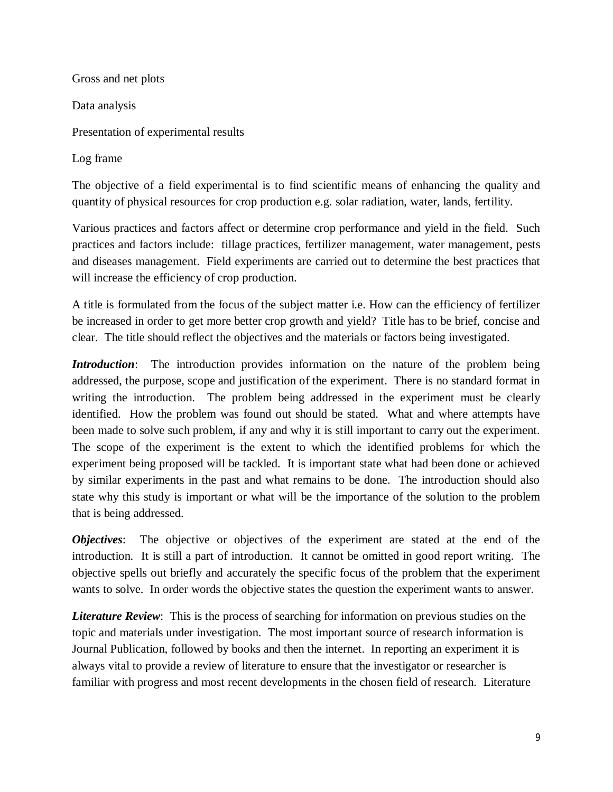Gross and net plots Data analysis Presentation of experimental results

Log frame

The objective of a field experimental is to find scientific means of enhancing the quality and quantity of physical resources for crop production e.g. solar radiation, water, lands, fertility.

Various practices and factors affect or determine crop performance and yield in the field. Such practices and factors include: tillage practices, fertilizer management, water management, pests and diseases management. Field experiments are carried out to determine the best practices that will increase the efficiency of crop production.

A title is formulated from the focus of the subject matter i.e. How can the efficiency of fertilizer be increased in order to get more better crop growth and yield? Title has to be brief, concise and clear. The title should reflect the objectives and the materials or factors being investigated.

*Introduction*: The introduction provides information on the nature of the problem being addressed, the purpose, scope and justification of the experiment. There is no standard format in writing the introduction. The problem being addressed in the experiment must be clearly identified. How the problem was found out should be stated. What and where attempts have been made to solve such problem, if any and why it is still important to carry out the experiment. The scope of the experiment is the extent to which the identified problems for which the experiment being proposed will be tackled. It is important state what had been done or achieved by similar experiments in the past and what remains to be done. The introduction should also state why this study is important or what will be the importance of the solution to the problem that is being addressed.

*Objectives*: The objective or objectives of the experiment are stated at the end of the introduction. It is still a part of introduction. It cannot be omitted in good report writing. The objective spells out briefly and accurately the specific focus of the problem that the experiment wants to solve. In order words the objective states the question the experiment wants to answer.

*Literature Review*: This is the process of searching for information on previous studies on the topic and materials under investigation. The most important source of research information is Journal Publication, followed by books and then the internet. In reporting an experiment it is always vital to provide a review of literature to ensure that the investigator or researcher is familiar with progress and most recent developments in the chosen field of research. Literature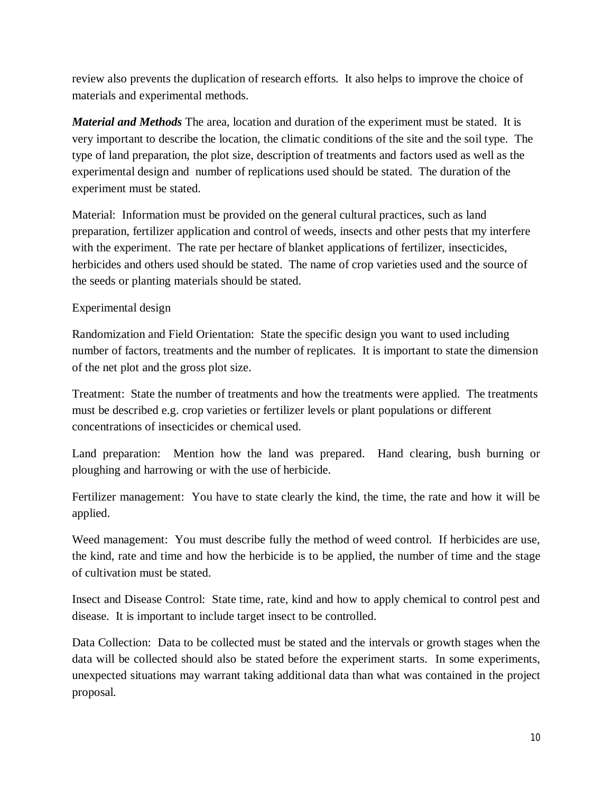review also prevents the duplication of research efforts. It also helps to improve the choice of materials and experimental methods.

*Material and Methods* The area, location and duration of the experiment must be stated. It is very important to describe the location, the climatic conditions of the site and the soil type. The type of land preparation, the plot size, description of treatments and factors used as well as the experimental design and number of replications used should be stated. The duration of the experiment must be stated.

Material: Information must be provided on the general cultural practices, such as land preparation, fertilizer application and control of weeds, insects and other pests that my interfere with the experiment. The rate per hectare of blanket applications of fertilizer, insecticides, herbicides and others used should be stated. The name of crop varieties used and the source of the seeds or planting materials should be stated.

# Experimental design

Randomization and Field Orientation: State the specific design you want to used including number of factors, treatments and the number of replicates. It is important to state the dimension of the net plot and the gross plot size.

Treatment: State the number of treatments and how the treatments were applied. The treatments must be described e.g. crop varieties or fertilizer levels or plant populations or different concentrations of insecticides or chemical used.

Land preparation: Mention how the land was prepared. Hand clearing, bush burning or ploughing and harrowing or with the use of herbicide.

Fertilizer management: You have to state clearly the kind, the time, the rate and how it will be applied.

Weed management: You must describe fully the method of weed control. If herbicides are use, the kind, rate and time and how the herbicide is to be applied, the number of time and the stage of cultivation must be stated.

Insect and Disease Control: State time, rate, kind and how to apply chemical to control pest and disease. It is important to include target insect to be controlled.

Data Collection: Data to be collected must be stated and the intervals or growth stages when the data will be collected should also be stated before the experiment starts. In some experiments, unexpected situations may warrant taking additional data than what was contained in the project proposal.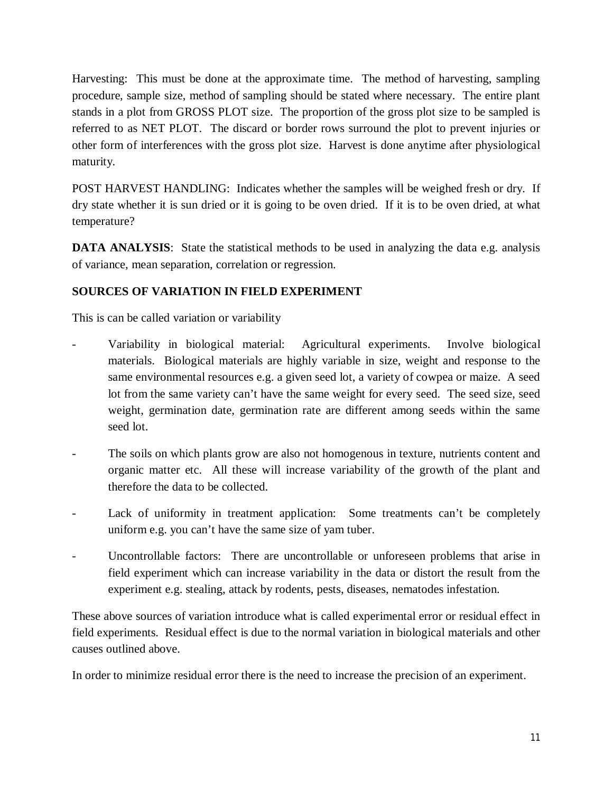Harvesting: This must be done at the approximate time. The method of harvesting, sampling procedure, sample size, method of sampling should be stated where necessary. The entire plant stands in a plot from GROSS PLOT size. The proportion of the gross plot size to be sampled is referred to as NET PLOT. The discard or border rows surround the plot to prevent injuries or other form of interferences with the gross plot size. Harvest is done anytime after physiological maturity.

POST HARVEST HANDLING: Indicates whether the samples will be weighed fresh or dry. If dry state whether it is sun dried or it is going to be oven dried. If it is to be oven dried, at what temperature?

**DATA ANALYSIS:** State the statistical methods to be used in analyzing the data e.g. analysis of variance, mean separation, correlation or regression.

# **SOURCES OF VARIATION IN FIELD EXPERIMENT**

This is can be called variation or variability

- Variability in biological material: Agricultural experiments. Involve biological materials. Biological materials are highly variable in size, weight and response to the same environmental resources e.g. a given seed lot, a variety of cowpea or maize. A seed lot from the same variety can't have the same weight for every seed. The seed size, seed weight, germination date, germination rate are different among seeds within the same seed lot.
- The soils on which plants grow are also not homogenous in texture, nutrients content and organic matter etc. All these will increase variability of the growth of the plant and therefore the data to be collected.
- Lack of uniformity in treatment application: Some treatments can't be completely uniform e.g. you can't have the same size of yam tuber.
- Uncontrollable factors: There are uncontrollable or unforeseen problems that arise in field experiment which can increase variability in the data or distort the result from the experiment e.g. stealing, attack by rodents, pests, diseases, nematodes infestation.

These above sources of variation introduce what is called experimental error or residual effect in field experiments. Residual effect is due to the normal variation in biological materials and other causes outlined above.

In order to minimize residual error there is the need to increase the precision of an experiment.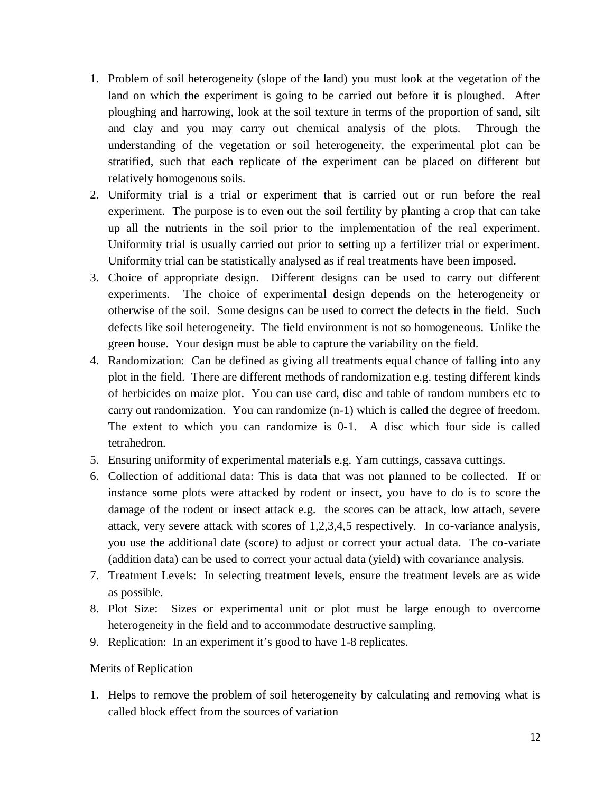- 1. Problem of soil heterogeneity (slope of the land) you must look at the vegetation of the land on which the experiment is going to be carried out before it is ploughed. After ploughing and harrowing, look at the soil texture in terms of the proportion of sand, silt and clay and you may carry out chemical analysis of the plots. Through the understanding of the vegetation or soil heterogeneity, the experimental plot can be stratified, such that each replicate of the experiment can be placed on different but relatively homogenous soils.
- 2. Uniformity trial is a trial or experiment that is carried out or run before the real experiment. The purpose is to even out the soil fertility by planting a crop that can take up all the nutrients in the soil prior to the implementation of the real experiment. Uniformity trial is usually carried out prior to setting up a fertilizer trial or experiment. Uniformity trial can be statistically analysed as if real treatments have been imposed.
- 3. Choice of appropriate design. Different designs can be used to carry out different experiments. The choice of experimental design depends on the heterogeneity or otherwise of the soil. Some designs can be used to correct the defects in the field. Such defects like soil heterogeneity. The field environment is not so homogeneous. Unlike the green house. Your design must be able to capture the variability on the field.
- 4. Randomization: Can be defined as giving all treatments equal chance of falling into any plot in the field. There are different methods of randomization e.g. testing different kinds of herbicides on maize plot. You can use card, disc and table of random numbers etc to carry out randomization. You can randomize (n-1) which is called the degree of freedom. The extent to which you can randomize is 0-1. A disc which four side is called tetrahedron.
- 5. Ensuring uniformity of experimental materials e.g. Yam cuttings, cassava cuttings.
- 6. Collection of additional data: This is data that was not planned to be collected. If or instance some plots were attacked by rodent or insect, you have to do is to score the damage of the rodent or insect attack e.g. the scores can be attack, low attach, severe attack, very severe attack with scores of 1,2,3,4,5 respectively. In co-variance analysis, you use the additional date (score) to adjust or correct your actual data. The co-variate (addition data) can be used to correct your actual data (yield) with covariance analysis.
- 7. Treatment Levels: In selecting treatment levels, ensure the treatment levels are as wide as possible.
- 8. Plot Size: Sizes or experimental unit or plot must be large enough to overcome heterogeneity in the field and to accommodate destructive sampling.
- 9. Replication: In an experiment it's good to have 1-8 replicates.

#### Merits of Replication

1. Helps to remove the problem of soil heterogeneity by calculating and removing what is called block effect from the sources of variation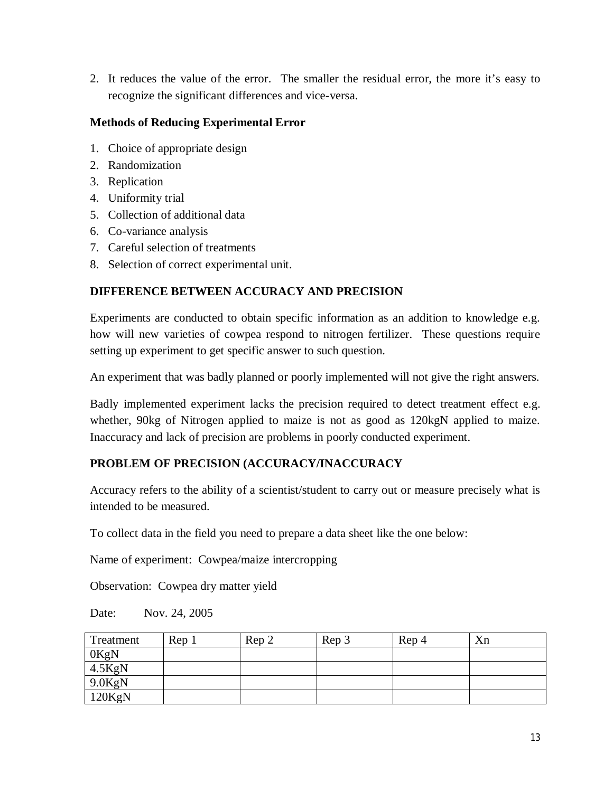2. It reduces the value of the error. The smaller the residual error, the more it's easy to recognize the significant differences and vice-versa.

# **Methods of Reducing Experimental Error**

- 1. Choice of appropriate design
- 2. Randomization
- 3. Replication
- 4. Uniformity trial
- 5. Collection of additional data
- 6. Co-variance analysis
- 7. Careful selection of treatments
- 8. Selection of correct experimental unit.

# **DIFFERENCE BETWEEN ACCURACY AND PRECISION**

Experiments are conducted to obtain specific information as an addition to knowledge e.g. how will new varieties of cowpea respond to nitrogen fertilizer. These questions require setting up experiment to get specific answer to such question.

An experiment that was badly planned or poorly implemented will not give the right answers.

Badly implemented experiment lacks the precision required to detect treatment effect e.g. whether, 90kg of Nitrogen applied to maize is not as good as 120kgN applied to maize. Inaccuracy and lack of precision are problems in poorly conducted experiment.

## **PROBLEM OF PRECISION (ACCURACY/INACCURACY**

Accuracy refers to the ability of a scientist/student to carry out or measure precisely what is intended to be measured.

To collect data in the field you need to prepare a data sheet like the one below:

Name of experiment: Cowpea/maize intercropping

Observation: Cowpea dry matter yield

Date: Nov. 24, 2005

| Treatment | Rep 1 | Rep 2 | Rep 3 | Rep 4 | Xn |
|-----------|-------|-------|-------|-------|----|
| 0KgN      |       |       |       |       |    |
| $4.5$ KgN |       |       |       |       |    |
| $9.0$ KgN |       |       |       |       |    |
| 120KgN    |       |       |       |       |    |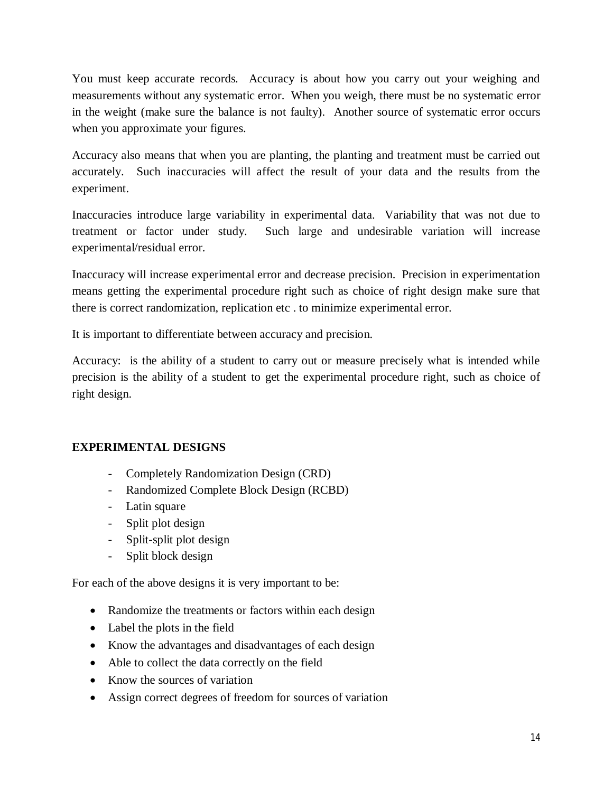You must keep accurate records. Accuracy is about how you carry out your weighing and measurements without any systematic error. When you weigh, there must be no systematic error in the weight (make sure the balance is not faulty). Another source of systematic error occurs when you approximate your figures.

Accuracy also means that when you are planting, the planting and treatment must be carried out accurately. Such inaccuracies will affect the result of your data and the results from the experiment.

Inaccuracies introduce large variability in experimental data. Variability that was not due to treatment or factor under study. Such large and undesirable variation will increase experimental/residual error.

Inaccuracy will increase experimental error and decrease precision. Precision in experimentation means getting the experimental procedure right such as choice of right design make sure that there is correct randomization, replication etc . to minimize experimental error.

It is important to differentiate between accuracy and precision.

Accuracy: is the ability of a student to carry out or measure precisely what is intended while precision is the ability of a student to get the experimental procedure right, such as choice of right design.

# **EXPERIMENTAL DESIGNS**

- Completely Randomization Design (CRD)
- Randomized Complete Block Design (RCBD)
- Latin square
- Split plot design
- Split-split plot design
- Split block design

For each of the above designs it is very important to be:

- Randomize the treatments or factors within each design
- Label the plots in the field
- Know the advantages and disadvantages of each design
- Able to collect the data correctly on the field
- Know the sources of variation
- Assign correct degrees of freedom for sources of variation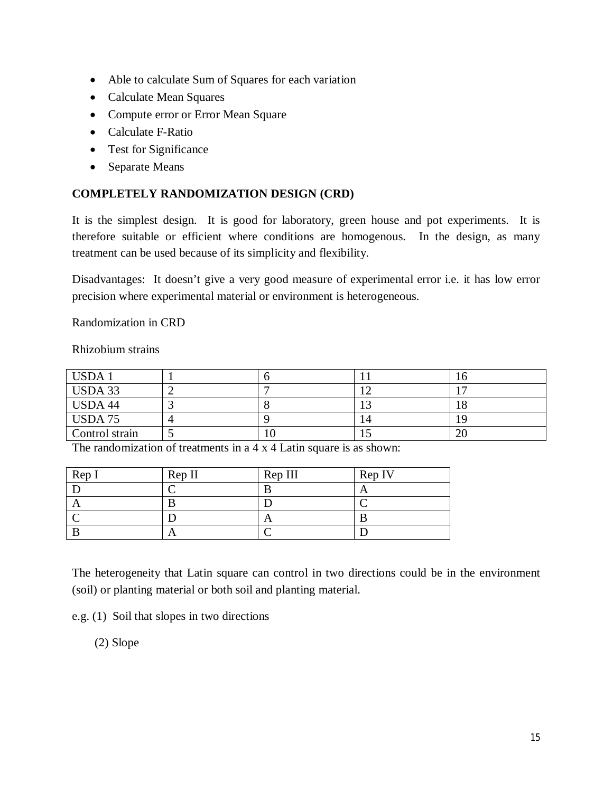- Able to calculate Sum of Squares for each variation
- Calculate Mean Squares
- Compute error or Error Mean Square
- Calculate F-Ratio
- Test for Significance
- Separate Means

# **COMPLETELY RANDOMIZATION DESIGN (CRD)**

It is the simplest design. It is good for laboratory, green house and pot experiments. It is therefore suitable or efficient where conditions are homogenous. In the design, as many treatment can be used because of its simplicity and flexibility.

Disadvantages: It doesn't give a very good measure of experimental error i.e. it has low error precision where experimental material or environment is heterogeneous.

Randomization in CRD

Rhizobium strains

| USDA 1         |  |    | v |
|----------------|--|----|---|
| USDA 33        |  |    |   |
| USDA 44        |  |    |   |
| USDA 75        |  | 14 |   |
| Control strain |  |    |   |

The randomization of treatments in a 4 x 4 Latin square is as shown:

| Rep I | Rep II | Rep III | Rep IV |
|-------|--------|---------|--------|
|       |        |         |        |
|       |        |         |        |
|       |        |         |        |
|       | A      |         |        |

The heterogeneity that Latin square can control in two directions could be in the environment (soil) or planting material or both soil and planting material.

e.g. (1) Soil that slopes in two directions

(2) Slope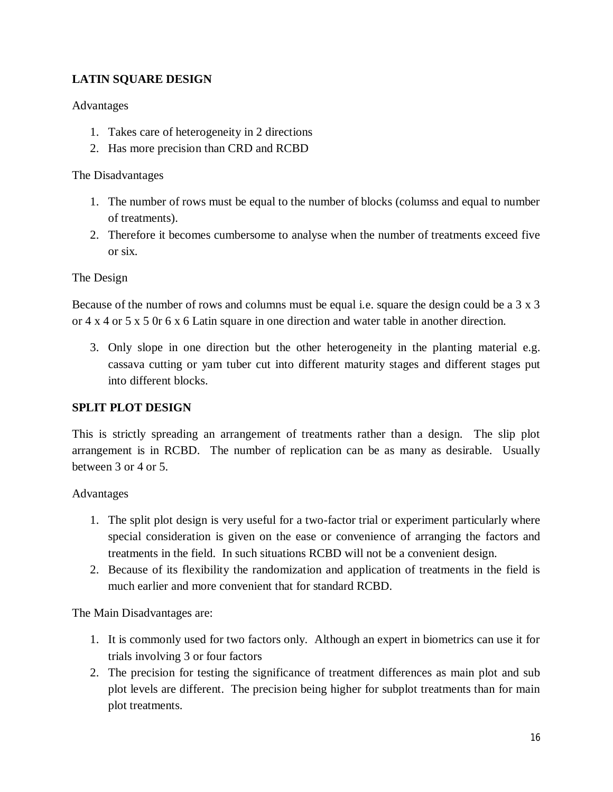# **LATIN SQUARE DESIGN**

# Advantages

- 1. Takes care of heterogeneity in 2 directions
- 2. Has more precision than CRD and RCBD

#### The Disadvantages

- 1. The number of rows must be equal to the number of blocks (columss and equal to number of treatments).
- 2. Therefore it becomes cumbersome to analyse when the number of treatments exceed five or six.

## The Design

Because of the number of rows and columns must be equal i.e. square the design could be a 3 x 3 or 4 x 4 or 5 x 5 0r 6 x 6 Latin square in one direction and water table in another direction.

3. Only slope in one direction but the other heterogeneity in the planting material e.g. cassava cutting or yam tuber cut into different maturity stages and different stages put into different blocks.

## **SPLIT PLOT DESIGN**

This is strictly spreading an arrangement of treatments rather than a design. The slip plot arrangement is in RCBD. The number of replication can be as many as desirable. Usually between 3 or 4 or 5.

## Advantages

- 1. The split plot design is very useful for a two-factor trial or experiment particularly where special consideration is given on the ease or convenience of arranging the factors and treatments in the field. In such situations RCBD will not be a convenient design.
- 2. Because of its flexibility the randomization and application of treatments in the field is much earlier and more convenient that for standard RCBD.

The Main Disadvantages are:

- 1. It is commonly used for two factors only. Although an expert in biometrics can use it for trials involving 3 or four factors
- 2. The precision for testing the significance of treatment differences as main plot and sub plot levels are different. The precision being higher for subplot treatments than for main plot treatments.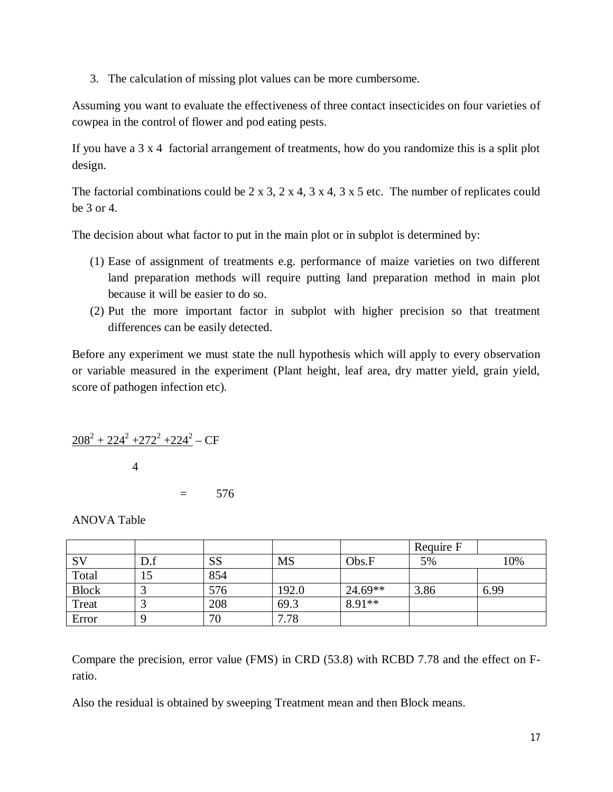3. The calculation of missing plot values can be more cumbersome.

Assuming you want to evaluate the effectiveness of three contact insecticides on four varieties of cowpea in the control of flower and pod eating pests.

If you have a 3 x 4 factorial arrangement of treatments, how do you randomize this is a split plot design.

The factorial combinations could be 2 x 3, 2 x 4, 3 x 4, 3 x 5 etc. The number of replicates could be 3 or 4.

The decision about what factor to put in the main plot or in subplot is determined by:

- (1) Ease of assignment of treatments e.g. performance of maize varieties on two different land preparation methods will require putting land preparation method in main plot because it will be easier to do so.
- (2) Put the more important factor in subplot with higher precision so that treatment differences can be easily detected.

Before any experiment we must state the null hypothesis which will apply to every observation or variable measured in the experiment (Plant height, leaf area, dry matter yield, grain yield, score of pathogen infection etc).

$$
208^2 + 224^2 + 272^2 + 224^2 - CF
$$

4

 $= 576$ 

ANOVA Table

|              |     |           |           |           | Require F |      |
|--------------|-----|-----------|-----------|-----------|-----------|------|
| <b>SV</b>    | D.f | <b>SS</b> | <b>MS</b> | Obs.F     | 5%        | 10%  |
| Total        | 15  | 854       |           |           |           |      |
| <b>Block</b> |     | 576       | 192.0     | $24.69**$ | 3.86      | 6.99 |
| Treat        |     | 208       | 69.3      | $8.91**$  |           |      |
| Error        |     | 70        | 7.78      |           |           |      |

Compare the precision, error value (FMS) in CRD (53.8) with RCBD 7.78 and the effect on Fratio.

Also the residual is obtained by sweeping Treatment mean and then Block means.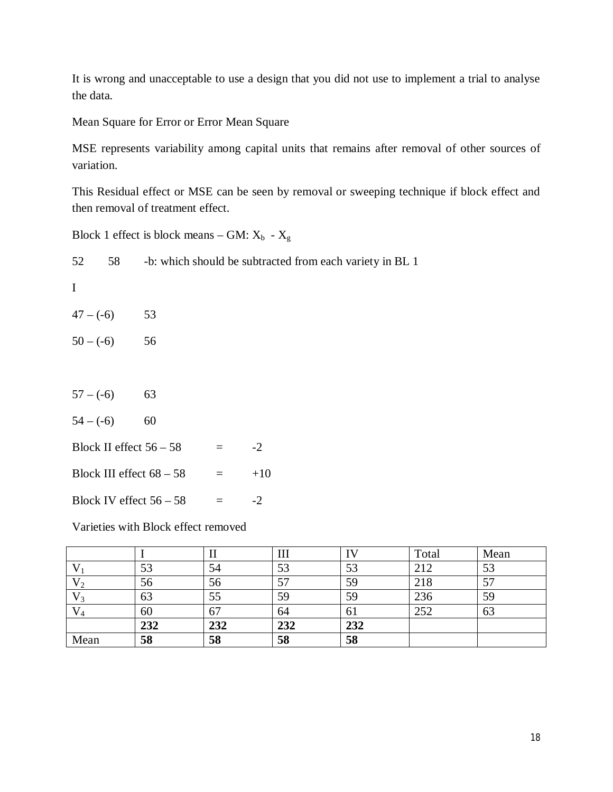It is wrong and unacceptable to use a design that you did not use to implement a trial to analyse the data.

Mean Square for Error or Error Mean Square

MSE represents variability among capital units that remains after removal of other sources of variation.

This Residual effect or MSE can be seen by removal or sweeping technique if block effect and then removal of treatment effect.

Block 1 effect is block means – GM:  $X_b$  -  $X_g$ 

| 52          | 58 | -b: which should be subtracted from each variety in BL 1 |     |       |  |  |
|-------------|----|----------------------------------------------------------|-----|-------|--|--|
| I           |    |                                                          |     |       |  |  |
| $47 - (-6)$ |    | 53                                                       |     |       |  |  |
| $50 - (-6)$ |    | 56                                                       |     |       |  |  |
|             |    |                                                          |     |       |  |  |
| $57 - (-6)$ |    | 63                                                       |     |       |  |  |
| $54 - (-6)$ |    | 60                                                       |     |       |  |  |
|             |    | Block II effect $56 - 58$                                | $=$ | $-2$  |  |  |
|             |    | Block III effect $68 - 58$                               | $=$ | $+10$ |  |  |

Block IV effect  $56 - 58$  =  $-2$ 

Varieties with Block effect removed

|       |     |     | Ш   |     | Total | Mean |
|-------|-----|-----|-----|-----|-------|------|
|       | 53  | 54  | 53  | 53  | 212   | 53   |
| ٧٥    | 56  | 56  | 57  | 59  | 218   | 57   |
| V2    | 63  | 55  | 59  | 59  | 236   | 59   |
| $V_4$ | 60  | 67  | 64  | 61  | 252   | 63   |
|       | 232 | 232 | 232 | 232 |       |      |
| Mean  | 58  | 58  | 58  | 58  |       |      |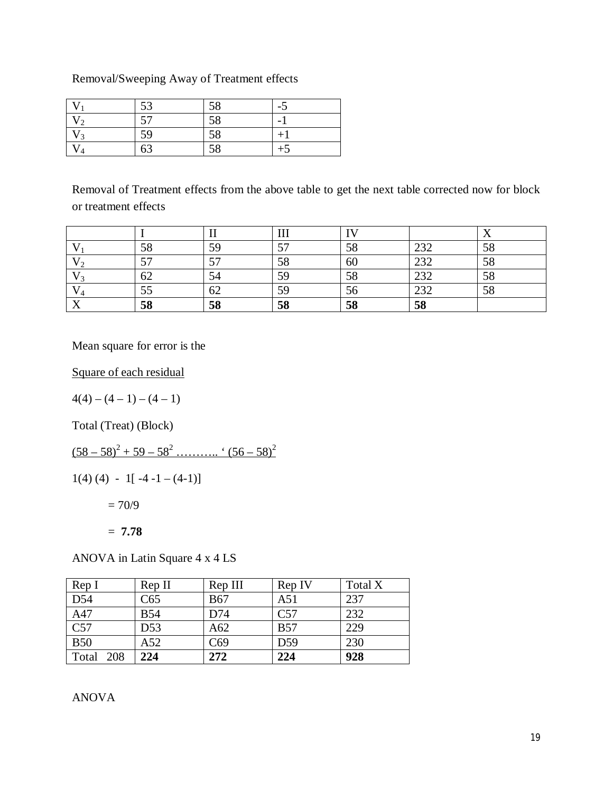# Removal/Sweeping Away of Treatment effects

|                          | 53                       | 58 | $\overline{\phantom{0}}$ |
|--------------------------|--------------------------|----|--------------------------|
| ി                        | $\overline{\phantom{a}}$ | 58 |                          |
| ່າ                       | 59                       | 58 |                          |
| $\boldsymbol{\varDelta}$ | 63                       | 58 |                          |

Removal of Treatment effects from the above table to get the next table corrected now for block or treatment effects

|              |    |                          | 111     | <b>TY</b> |            | $\overline{ }$ |
|--------------|----|--------------------------|---------|-----------|------------|----------------|
|              | 58 | 59                       | EП<br>◡ | 58        | າາາ<br>⊿ب∠ | 58             |
|              | 57 | $\overline{\phantom{a}}$ | 58      | 60        | 232        | 58             |
|              | 62 |                          | 59      | 58        | 232        | 58             |
|              | 55 | 62                       | 59      | 56        | 222<br>232 | 58             |
| $\mathbf{v}$ | 58 | 58                       | 58      | 58        | 58         |                |

Mean square for error is the

Square of each residual

 $4(4) - (4-1) - (4-1)$ 

Total (Treat) (Block)

 $(58 - 58)^2 + 59 - 58^2$  ……….. '  $(56 - 58)^2$ 

$$
1(4) (4) - 1[-4 - 1 - (4-1)]
$$

 $= 70/9$ 

= **7.78**

ANOVA in Latin Square 4 x 4 LS

| Rep I            | Rep II          | Rep III    | Rep IV          | Total X |
|------------------|-----------------|------------|-----------------|---------|
| $\overline{D54}$ | C65             | <b>B67</b> | A51             | 237     |
| A47              | <b>B54</b>      | D74        | C57             | 232     |
| C57              | D <sub>53</sub> | A62        | <b>B57</b>      | 229     |
| <b>B50</b>       | A52             | C69        | D <sub>59</sub> | 230     |
| Total<br>208     | 224             | 272        | 224             | 928     |

ANOVA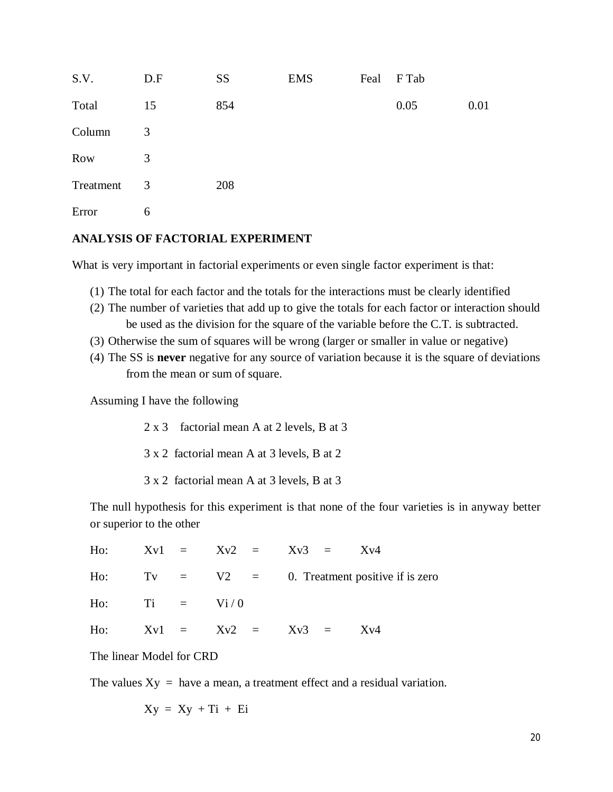| S.V.       | D.F                     | <b>SS</b> | <b>EMS</b> | Feal | F Tab |      |
|------------|-------------------------|-----------|------------|------|-------|------|
| Total      | 15                      | 854       |            |      | 0.05  | 0.01 |
| Column     | 3                       |           |            |      |       |      |
| <b>Row</b> | 3                       |           |            |      |       |      |
| Treatment  | $\overline{\mathbf{3}}$ | 208       |            |      |       |      |
| Error      | 6                       |           |            |      |       |      |

#### **ANALYSIS OF FACTORIAL EXPERIMENT**

What is very important in factorial experiments or even single factor experiment is that:

- (1) The total for each factor and the totals for the interactions must be clearly identified
- (2) The number of varieties that add up to give the totals for each factor or interaction should be used as the division for the square of the variable before the C.T. is subtracted.
- (3) Otherwise the sum of squares will be wrong (larger or smaller in value or negative)
- (4) The SS is **never** negative for any source of variation because it is the square of deviations from the mean or sum of square.

Assuming I have the following

- 2 x 3 factorial mean A at 2 levels, B at 3
- 3 x 2 factorial mean A at 3 levels, B at 2
- 3 x 2 factorial mean A at 3 levels, B at 3

The null hypothesis for this experiment is that none of the four varieties is in anyway better or superior to the other

|                 |  |                         | Ho: $Xv1 = Xv2 = Xv3 = Xv4$                        |
|-----------------|--|-------------------------|----------------------------------------------------|
|                 |  |                         | Ho: Tv $=$ V2 $=$ 0. Treatment positive if is zero |
| Ho: Ti = $Vi/0$ |  |                         |                                                    |
|                 |  | Ho: $Xv1 = Xv2 = Xv3 =$ | Xv4                                                |

The linear Model for CRD

The values  $Xy = h$ ave a mean, a treatment effect and a residual variation.

$$
Xy = Xy + Ti + Ei
$$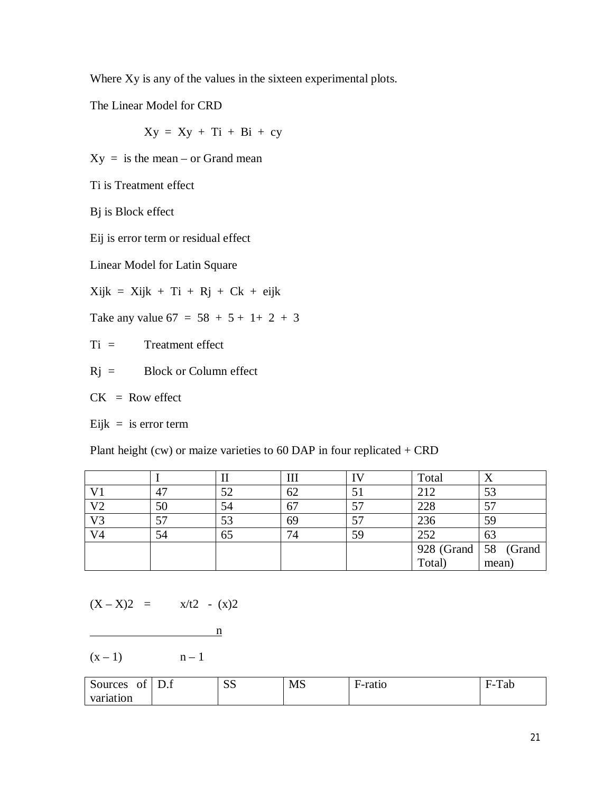Where Xy is any of the values in the sixteen experimental plots.

The Linear Model for CRD

 $Xy = Xy + Ti + Bi + cy$ 

 $Xy =$  is the mean – or Grand mean

Ti is Treatment effect

Bj is Block effect

Eij is error term or residual effect

Linear Model for Latin Square

 $Xijk = Xijk + Ti + Rj + Ck + eijk$ 

Take any value  $67 = 58 + 5 + 1 + 2 + 3$ 

Ti = Treatment effect

 $Rj =$  Block or Column effect

 $CK = Row effect$ 

Eijk = is error term

Plant height (cw) or maize varieties to  $60$  DAP in four replicated  $+$  CRD

|                |    | п  | Ш  | I٧ | Total                          | △     |
|----------------|----|----|----|----|--------------------------------|-------|
| V1             | 47 | 52 | 62 |    | 212                            | 53    |
| V <sub>2</sub> | 50 | 54 | 67 | 57 | 228                            |       |
| V <sub>3</sub> | 57 | 53 | 69 | 57 | 236                            | 59    |
| V <sub>4</sub> | 54 | 65 | 74 | 59 | 252                            | 63    |
|                |    |    |    |    | $928$ (Grand $\vert 58$ (Grand |       |
|                |    |    |    |    | Total)                         | mean) |

 $(X - X)2 = x/t2 - (x)2$ 

$$
\mathbf{n}^{\mathbf{m}}
$$

 $(x - 1)$  n – 1

| Sources<br>ΟÌ | $\blacksquare$<br>D.f | $\alpha$<br>ມມ | MS | F-ratio | $\mathbf{r}$<br>Tab<br>–<br>¬_ |
|---------------|-----------------------|----------------|----|---------|--------------------------------|
| variation     |                       |                |    |         |                                |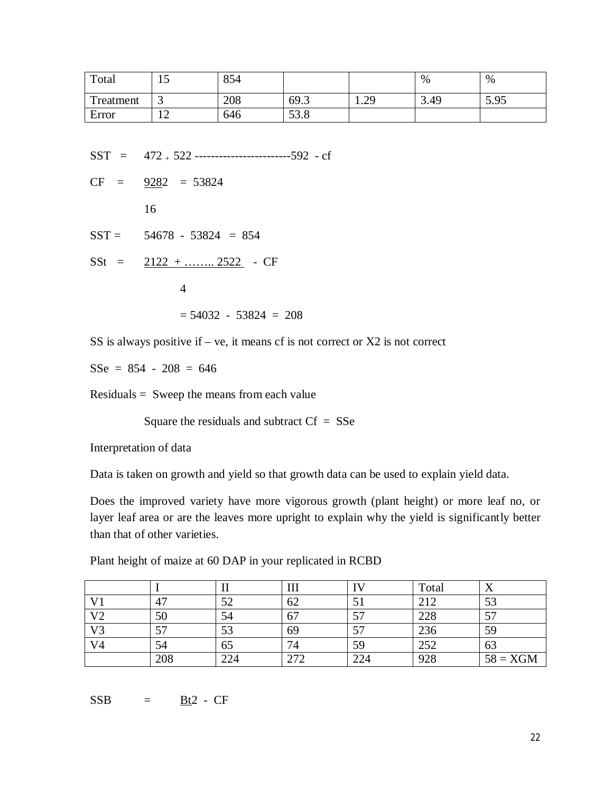| Total     | ⊥ັ                              | 854 |      |                   | %    | %    |
|-----------|---------------------------------|-----|------|-------------------|------|------|
| Treatment | ت                               | 208 | 69.3 | 20<br>1. <i>4</i> | 3.49 | 5.95 |
| Error     | 1 <sub>2</sub><br>┸ <del></del> | 646 | 53.8 |                   |      |      |

 $SST = 472 + 522$  -------------------------------592 - cf

 $CF = 9282 = 53824$  16  $SST = 54678 - 53824 = 854$  $SSt = 2122 + \dots 2522$  - CF 4  $= 54032 - 53824 = 208$ 

SS is always positive if  $-$  ve, it means cf is not correct or  $X2$  is not correct

 $SSe = 854 - 208 = 646$ 

Residuals = Sweep the means from each value

Square the residuals and subtract  $Cf = SSe$ 

Interpretation of data

Data is taken on growth and yield so that growth data can be used to explain yield data.

Does the improved variety have more vigorous growth (plant height) or more leaf no, or layer leaf area or are the leaves more upright to explain why the yield is significantly better than that of other varieties.

| Plant height of maize at 60 DAP in your replicated in RCBD |  |
|------------------------------------------------------------|--|
|                                                            |  |

|                |     |     | Ш   | IV  | Total |            |
|----------------|-----|-----|-----|-----|-------|------------|
| V <sub>1</sub> | 47  | 52  | 62  | 51  | 212   | 53         |
| V <sub>2</sub> | 50  | 54  | 67  | 57  | 228   | 57         |
| V <sub>3</sub> | 57  | 53  | 69  | 57  | 236   | 59         |
| V <sub>4</sub> | 54  | 65  | 74  | 59  | 252   | 63         |
|                | 208 | 224 | 272 | 224 | 928   | $58 = XGM$ |

 $SSB = Bt2 - CF$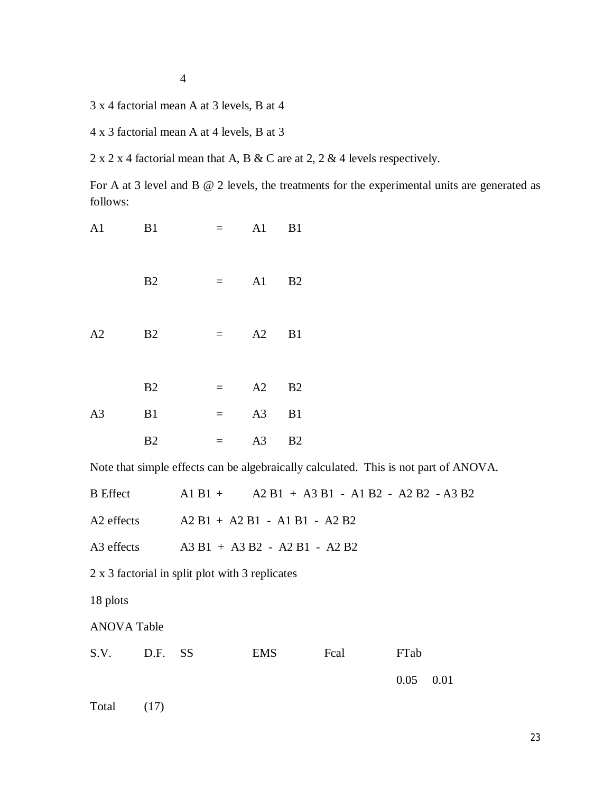4

3 x 4 factorial mean A at 3 levels, B at 4

4 x 3 factorial mean A at 4 levels, B at 3

2 x 2 x 4 factorial mean that A, B & C are at 2, 2 & 4 levels respectively.

For A at 3 level and B  $@$  2 levels, the treatments for the experimental units are generated as follows:

| A <sub>1</sub> | B1 | $=$ $-$                   | A1             | B1 |  |
|----------------|----|---------------------------|----------------|----|--|
|                | B2 | $\equiv$ 1000 $\pm$       | A1             | B2 |  |
| A2             | B2 | $\mathbf{r} = \mathbf{r}$ | A2             | B1 |  |
|                | B2 | $=$                       | A2             | B2 |  |
| A <sub>3</sub> | B1 | $=$                       | A3             | B1 |  |
|                | B2 | $=$                       | A <sub>3</sub> | B2 |  |

Note that simple effects can be algebraically calculated. This is not part of ANOVA.

|                                                 | B Effect $A1B1 + A2B1 + A3B1 - A1B2 - A2B2 - A3B2$ |
|-------------------------------------------------|----------------------------------------------------|
|                                                 | A2 effects $A2 B1 + A2 B1 - A1 B1 - A2 B2$         |
|                                                 | A3 effects $A3 B1 + A3 B2 - A2 B1 - A2 B2$         |
| 2 x 3 factorial in split plot with 3 replicates |                                                    |

18 plots

ANOVA Table

| S.V. D.F. SS |  | EMS | Fcal | FTab        |  |
|--------------|--|-----|------|-------------|--|
|              |  |     |      | $0.05$ 0.01 |  |

Total (17)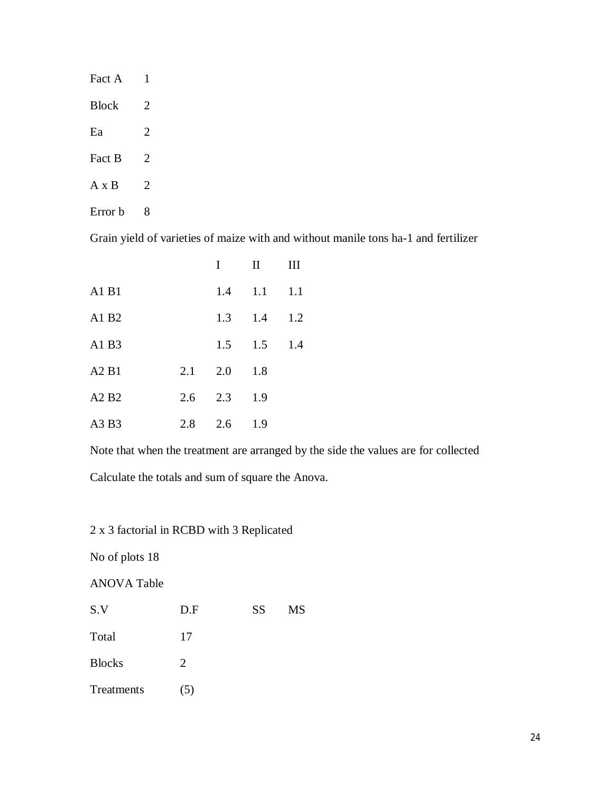| Fact A       | 1 |  |
|--------------|---|--|
| <b>Block</b> | 2 |  |
| Ea           | 2 |  |
| Fact B       | 2 |  |
| $A \times B$ | 2 |  |
| Error b      | 8 |  |

Grain yield of varieties of maize with and without manile tons ha-1 and fertilizer

|       |     | I   | $\Pi$ | Ш   |
|-------|-----|-----|-------|-----|
| A1 B1 |     | 1.4 | 1.1   | 1.1 |
| A1 B2 |     | 1.3 | 1.4   | 1.2 |
| A1 B3 |     | 1.5 | 1.5   | 1.4 |
| A2B1  | 2.1 | 2.0 | 1.8   |     |
| A2 B2 | 2.6 | 2.3 | 1.9   |     |
| A3 B3 | 2.8 | 2.6 | 1.9   |     |
|       |     |     |       |     |

Note that when the treatment are arranged by the side the values are for collected Calculate the totals and sum of square the Anova.

2 x 3 factorial in RCBD with 3 Replicated

No of plots 18

ANOVA Table

| S.V           | D.F | <b>SS</b> | MS |
|---------------|-----|-----------|----|
| Total         | 17  |           |    |
| <b>Blocks</b> | 2   |           |    |
| Treatments    | (5) |           |    |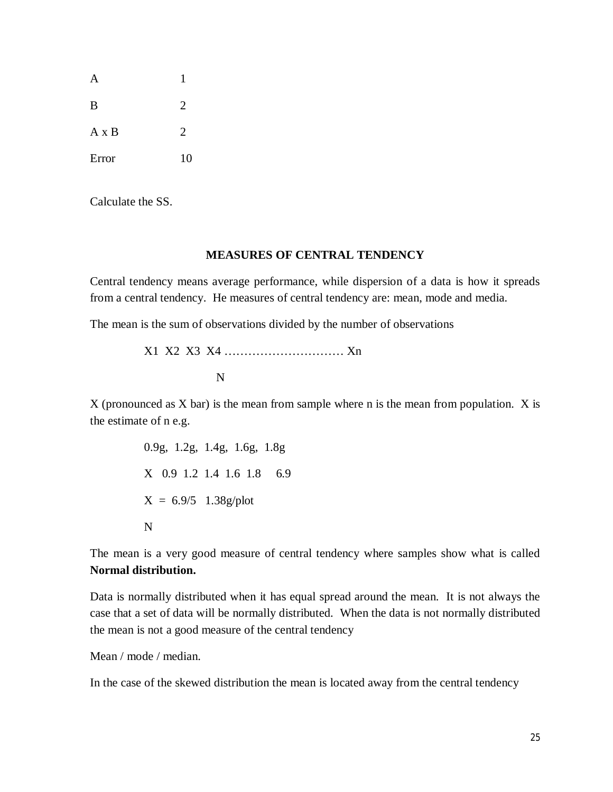|              | 1              |
|--------------|----------------|
| B            | $\overline{2}$ |
| $A \times B$ | $\overline{2}$ |
| Error        | 10             |

Calculate the SS.

#### **MEASURES OF CENTRAL TENDENCY**

Central tendency means average performance, while dispersion of a data is how it spreads from a central tendency. He measures of central tendency are: mean, mode and media.

The mean is the sum of observations divided by the number of observations

X1 X2 X3 X4 ………………………… Xn N

 $X$  (pronounced as  $X$  bar) is the mean from sample where n is the mean from population.  $X$  is the estimate of n e.g.

> 0.9g, 1.2g, 1.4g, 1.6g, 1.8g X 0.9 1.2 1.4 1.6 1.8 6.9  $X = 6.9/5$  1.38g/plot N

The mean is a very good measure of central tendency where samples show what is called **Normal distribution.**

Data is normally distributed when it has equal spread around the mean. It is not always the case that a set of data will be normally distributed. When the data is not normally distributed the mean is not a good measure of the central tendency

Mean / mode / median.

In the case of the skewed distribution the mean is located away from the central tendency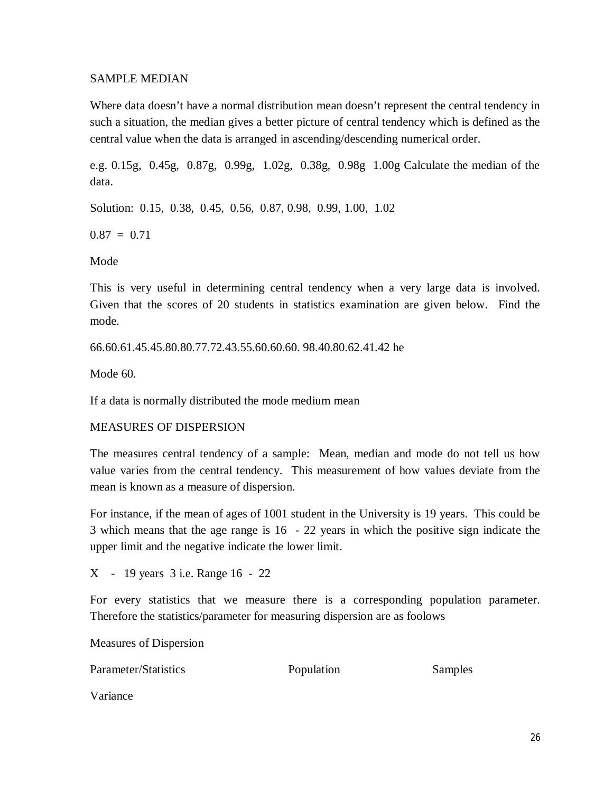#### SAMPLE MEDIAN

Where data doesn't have a normal distribution mean doesn't represent the central tendency in such a situation, the median gives a better picture of central tendency which is defined as the central value when the data is arranged in ascending/descending numerical order.

e.g. 0.15g, 0.45g, 0.87g, 0.99g, 1.02g, 0.38g, 0.98g 1.00g Calculate the median of the data.

Solution: 0.15, 0.38, 0.45, 0.56, 0.87, 0.98, 0.99, 1.00, 1.02

 $0.87 = 0.71$ 

Mode

This is very useful in determining central tendency when a very large data is involved. Given that the scores of 20 students in statistics examination are given below. Find the mode.

66.60.61.45.45.80.80.77.72.43.55.60.60.60. 98.40.80.62.41.42 he

Mode 60.

If a data is normally distributed the mode medium mean

## MEASURES OF DISPERSION

The measures central tendency of a sample: Mean, median and mode do not tell us how value varies from the central tendency. This measurement of how values deviate from the mean is known as a measure of dispersion.

For instance, if the mean of ages of 1001 student in the University is 19 years. This could be 3 which means that the age range is 16 - 22 years in which the positive sign indicate the upper limit and the negative indicate the lower limit.

X - 19 years 3 i.e. Range 16 - 22

For every statistics that we measure there is a corresponding population parameter. Therefore the statistics/parameter for measuring dispersion are as foolows

Measures of Dispersion

| Parameter/Statistics | Population | Samples |
|----------------------|------------|---------|
|                      |            |         |

Variance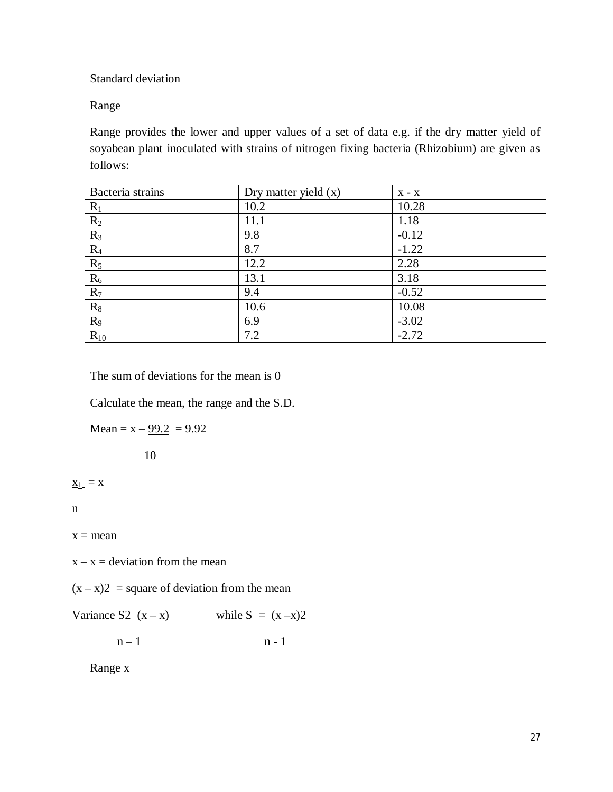Standard deviation

Range

Range provides the lower and upper values of a set of data e.g. if the dry matter yield of soyabean plant inoculated with strains of nitrogen fixing bacteria (Rhizobium) are given as follows:

| Bacteria strains | Dry matter yield $(x)$ | $X - X$ |
|------------------|------------------------|---------|
| $R_1$            | 10.2                   | 10.28   |
| $R_2$            | 11.1                   | 1.18    |
| $R_3$            | 9.8                    | $-0.12$ |
| $R_4$            | 8.7                    | $-1.22$ |
| $R_5$            | 12.2                   | 2.28    |
| $R_6$            | 13.1                   | 3.18    |
| $R_7$            | 9.4                    | $-0.52$ |
| $R_8$            | 10.6                   | 10.08   |
| $R_9$            | 6.9                    | $-3.02$ |
| $R_{10}$         | 7.2                    | $-2.72$ |

The sum of deviations for the mean is 0

Calculate the mean, the range and the S.D.

Mean =  $x - 99.2 = 9.92$ 

10

 $X_{1} = X$ 

n

 $x = mean$ 

 $x - x =$  deviation from the mean

 $(x - x)2$  = square of deviation from the mean

Variance S2  $(x - x)$  while S =  $(x - x)2$ 

 $n - 1$  n - 1

Range x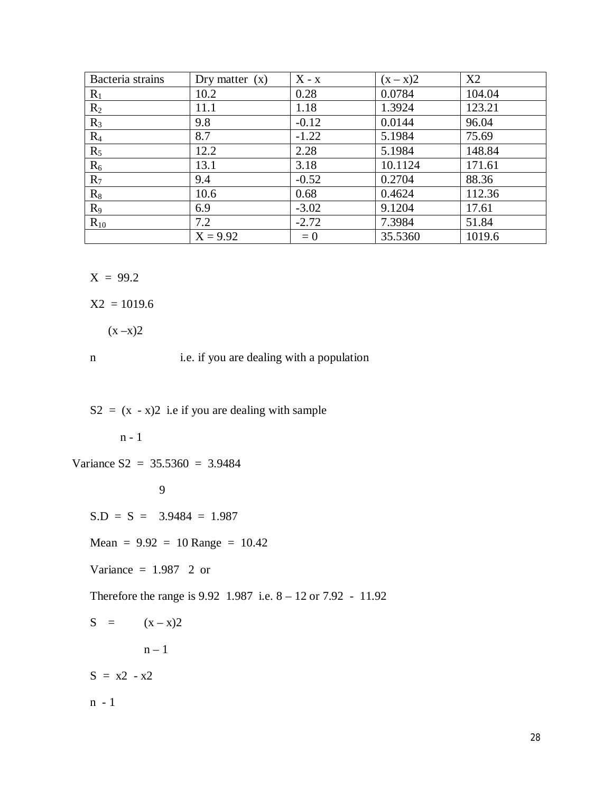| Bacteria strains | Dry matter $(x)$ | $X - x$ | $(x - x)2$ | X2     |
|------------------|------------------|---------|------------|--------|
| $R_1$            | 10.2             | 0.28    | 0.0784     | 104.04 |
| $R_2$            | 11.1             | 1.18    | 1.3924     | 123.21 |
| $R_3$            | 9.8              | $-0.12$ | 0.0144     | 96.04  |
| $R_4$            | 8.7              | $-1.22$ | 5.1984     | 75.69  |
| $R_5$            | 12.2             | 2.28    | 5.1984     | 148.84 |
| $R_6$            | 13.1             | 3.18    | 10.1124    | 171.61 |
| $R_7$            | 9.4              | $-0.52$ | 0.2704     | 88.36  |
| $R_8$            | 10.6             | 0.68    | 0.4624     | 112.36 |
| $R_9$            | 6.9              | $-3.02$ | 9.1204     | 17.61  |
| $R_{10}$         | 7.2              | $-2.72$ | 7.3984     | 51.84  |
|                  | $X = 9.92$       | $= 0$   | 35.5360    | 1019.6 |

 $X = 99.2$ 

 $X2 = 1019.6$ 

 $(x - x)2$ 

n i.e. if you are dealing with a population

 $S2 = (x - x)2$  i.e if you are dealing with sample

n - 1

Variance  $S2 = 35.5360 = 3.9484$ 

9

 $S.D = S = 3.9484 = 1.987$ 

 $Mean = 9.92 = 10 Range = 10.42$ 

Variance  $= 1.987$  2 or

Therefore the range is 9.92 1.987 i.e. 8 – 12 or 7.92 - 11.92

$$
S = (x-x)2
$$
  

$$
n-1
$$

 $S = x^2 - x^2$ 

n - 1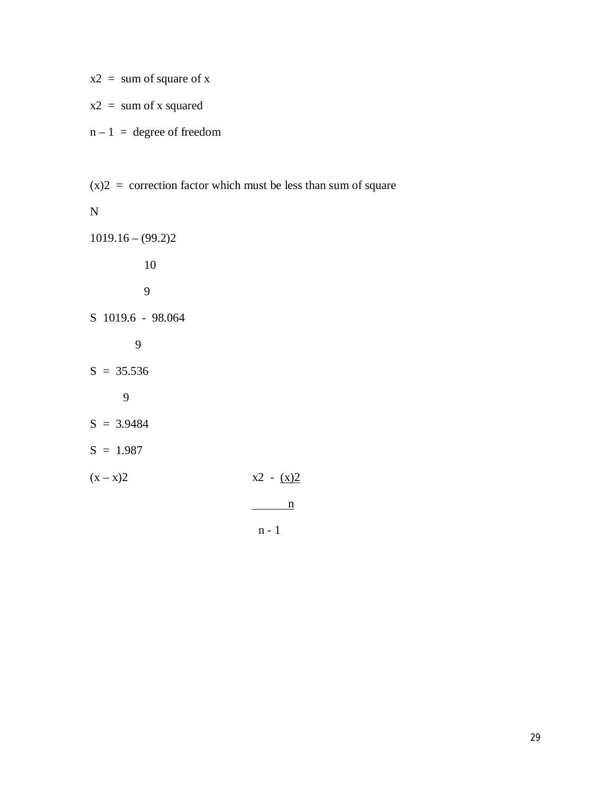|  | $x2 =$ sum of square of x |  |  |  |
|--|---------------------------|--|--|--|
|  |                           |  |  |  |

- $x2 =$ sum of x squared
- $n 1$  = degree of freedom

 $(x)$ 2 = correction factor which must be less than sum of square

#### N

 $1019.16 - (99.2)2$ 10 9 S 1019.6 - 98.064 9  $S = 35.536$ 

- 9
- $S = 3.9484$
- $S = 1.987$
- $(x x)2$   $x2 (x)2$

 $\frac{n}{1}$ 

n - 1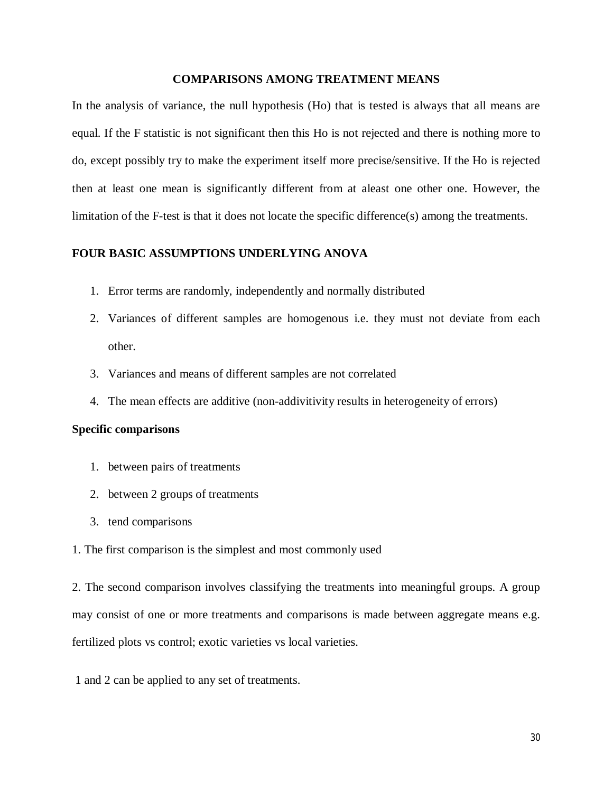#### **COMPARISONS AMONG TREATMENT MEANS**

In the analysis of variance, the null hypothesis (Ho) that is tested is always that all means are equal. If the F statistic is not significant then this Ho is not rejected and there is nothing more to do, except possibly try to make the experiment itself more precise/sensitive. If the Ho is rejected then at least one mean is significantly different from at aleast one other one. However, the limitation of the F-test is that it does not locate the specific difference(s) among the treatments.

#### **FOUR BASIC ASSUMPTIONS UNDERLYING ANOVA**

- 1. Error terms are randomly, independently and normally distributed
- 2. Variances of different samples are homogenous i.e. they must not deviate from each other.
- 3. Variances and means of different samples are not correlated
- 4. The mean effects are additive (non-addivitivity results in heterogeneity of errors)

#### **Specific comparisons**

- 1. between pairs of treatments
- 2. between 2 groups of treatments
- 3. tend comparisons
- 1. The first comparison is the simplest and most commonly used

2. The second comparison involves classifying the treatments into meaningful groups. A group may consist of one or more treatments and comparisons is made between aggregate means e.g. fertilized plots vs control; exotic varieties vs local varieties.

1 and 2 can be applied to any set of treatments.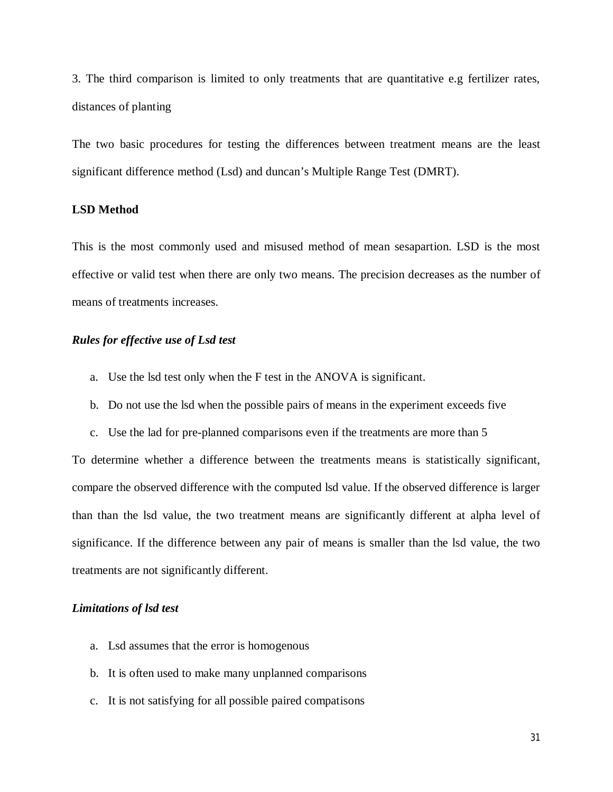3. The third comparison is limited to only treatments that are quantitative e.g fertilizer rates, distances of planting

The two basic procedures for testing the differences between treatment means are the least significant difference method (Lsd) and duncan's Multiple Range Test (DMRT).

#### **LSD Method**

This is the most commonly used and misused method of mean sesapartion. LSD is the most effective or valid test when there are only two means. The precision decreases as the number of means of treatments increases.

#### *Rules for effective use of Lsd test*

- a. Use the lsd test only when the F test in the ANOVA is significant.
- b. Do not use the lsd when the possible pairs of means in the experiment exceeds five
- c. Use the lad for pre-planned comparisons even if the treatments are more than 5

To determine whether a difference between the treatments means is statistically significant, compare the observed difference with the computed lsd value. If the observed difference is larger than than the lsd value, the two treatment means are significantly different at alpha level of significance. If the difference between any pair of means is smaller than the lsd value, the two treatments are not significantly different.

#### *Limitations of lsd test*

- a. Lsd assumes that the error is homogenous
- b. It is often used to make many unplanned comparisons
- c. It is not satisfying for all possible paired compatisons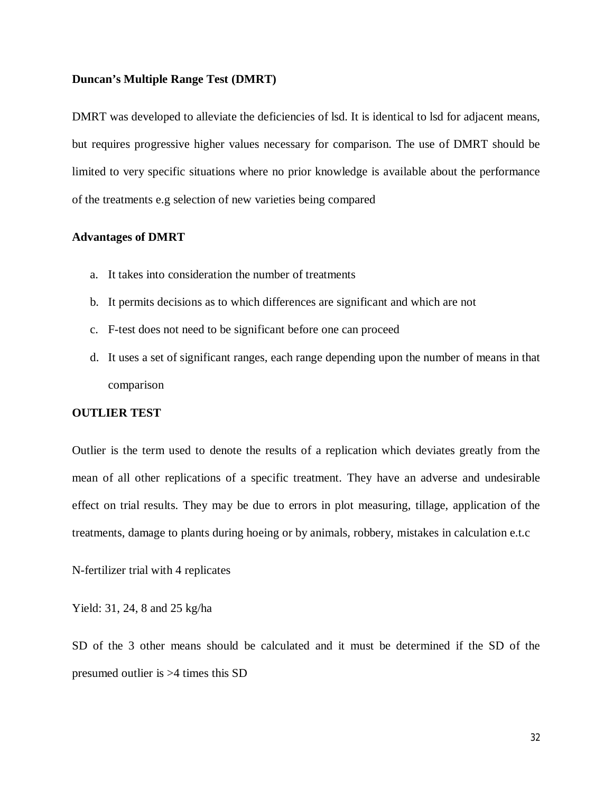#### **Duncan's Multiple Range Test (DMRT)**

DMRT was developed to alleviate the deficiencies of lsd. It is identical to lsd for adjacent means, but requires progressive higher values necessary for comparison. The use of DMRT should be limited to very specific situations where no prior knowledge is available about the performance of the treatments e.g selection of new varieties being compared

#### **Advantages of DMRT**

- a. It takes into consideration the number of treatments
- b. It permits decisions as to which differences are significant and which are not
- c. F-test does not need to be significant before one can proceed
- d. It uses a set of significant ranges, each range depending upon the number of means in that comparison

#### **OUTLIER TEST**

Outlier is the term used to denote the results of a replication which deviates greatly from the mean of all other replications of a specific treatment. They have an adverse and undesirable effect on trial results. They may be due to errors in plot measuring, tillage, application of the treatments, damage to plants during hoeing or by animals, robbery, mistakes in calculation e.t.c

N-fertilizer trial with 4 replicates

Yield: 31, 24, 8 and 25 kg/ha

SD of the 3 other means should be calculated and it must be determined if the SD of the presumed outlier is >4 times this SD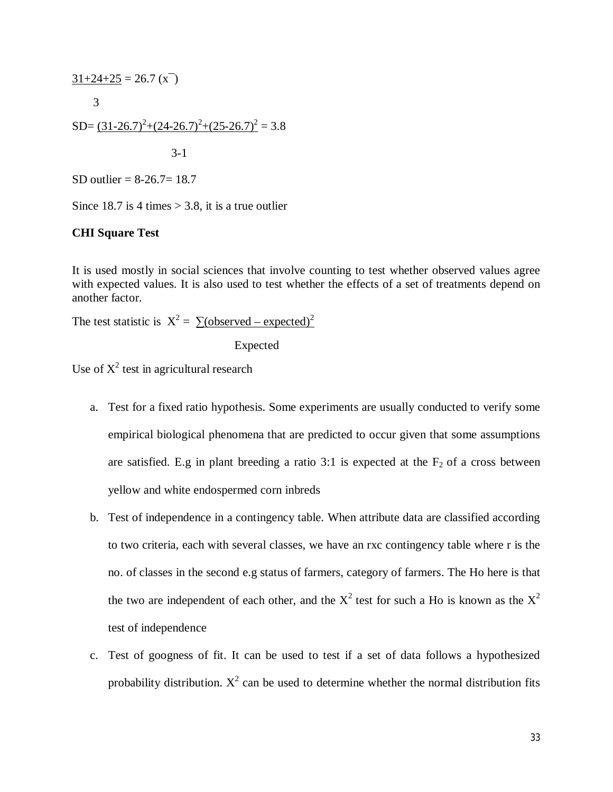$$
\frac{31+24+25}{3} = 26.7 \text{ (x}^{-})
$$
  
3  
SD=  $(31-26.7)^{2}+(24-26.7)^{2}+(25-26.7)^{2} = 3.8$   
3-1

SD outlier =  $8-26.7=18.7$ 

Since 18.7 is 4 times  $>$  3.8, it is a true outlier

#### **CHI Square Test**

It is used mostly in social sciences that involve counting to test whether observed values agree with expected values. It is also used to test whether the effects of a set of treatments depend on another factor.

The test statistic is  $X^2 = \sum_{n=1}^{\infty} (observed - expected)^2$ 

Expected

Use of  $X^2$  test in agricultural research

- a. Test for a fixed ratio hypothesis. Some experiments are usually conducted to verify some empirical biological phenomena that are predicted to occur given that some assumptions are satisfied. E.g in plant breeding a ratio 3:1 is expected at the  $F_2$  of a cross between yellow and white endospermed corn inbreds
- b. Test of independence in a contingency table. When attribute data are classified according to two criteria, each with several classes, we have an rxc contingency table where r is the no. of classes in the second e.g status of farmers, category of farmers. The Ho here is that the two are independent of each other, and the  $X^2$  test for such a Ho is known as the  $X^2$ test of independence
- c. Test of googness of fit. It can be used to test if a set of data follows a hypothesized probability distribution.  $X^2$  can be used to determine whether the normal distribution fits